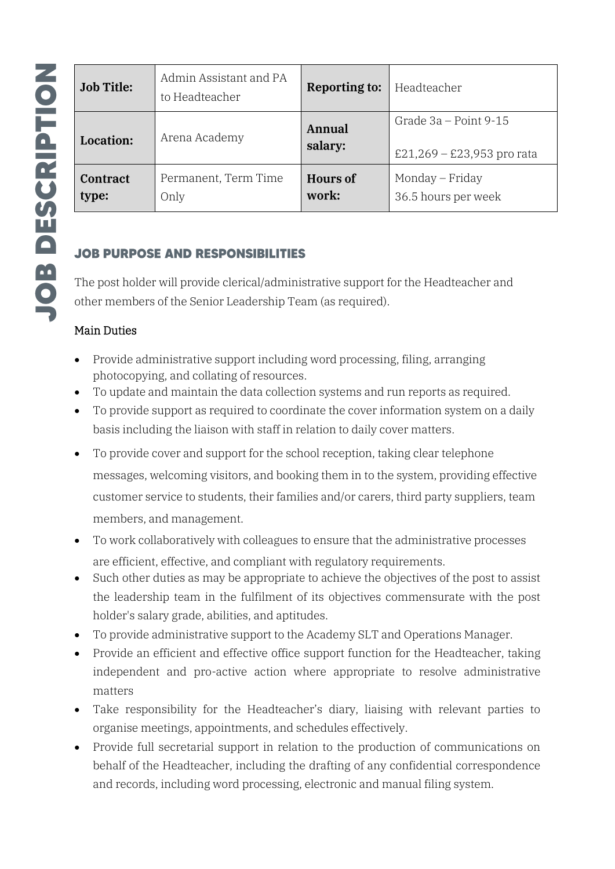| <b>Job Title:</b>        | Admin Assistant and PA<br>to Headteacher | <b>Reporting to:</b>     | Headteacher                                           |
|--------------------------|------------------------------------------|--------------------------|-------------------------------------------------------|
| <b>Location:</b>         | Arena Academy                            | Annual<br>salary:        | Grade $3a - Point 9-15$<br>£21,269 – £23,953 pro rata |
| <b>Contract</b><br>type: | Permanent, Term Time<br>Only             | <b>Hours of</b><br>work: | Monday – Friday<br>36.5 hours per week                |

# **JOB PURPOSE AND RESPONSIBILITIES**

The post holder will provide clerical/administrative support for the Headteacher and other members of the Senior Leadership Team (as required).

### Main Duties

- Provide administrative support including word processing, filing, arranging photocopying, and collating of resources.
- To update and maintain the data collection systems and run reports as required.
- To provide support as required to coordinate the cover information system on a daily basis including the liaison with staff in relation to daily cover matters.
- To provide cover and support for the school reception, taking clear telephone messages, welcoming visitors, and booking them in to the system, providing effective customer service to students, their families and/or carers, third party suppliers, team members, and management.
- To work collaboratively with colleagues to ensure that the administrative processes are efficient, effective, and compliant with regulatory requirements.
- Such other duties as may be appropriate to achieve the objectives of the post to assist the leadership team in the fulfilment of its objectives commensurate with the post holder's salary grade, abilities, and aptitudes.
- To provide administrative support to the Academy SLT and Operations Manager.
- Provide an efficient and effective office support function for the Headteacher, taking independent and pro-active action where appropriate to resolve administrative matters
- Take responsibility for the Headteacher's diary, liaising with relevant parties to organise meetings, appointments, and schedules effectively.
- Provide full secretarial support in relation to the production of communications on behalf of the Headteacher, including the drafting of any confidential correspondence and records, including word processing, electronic and manual filing system.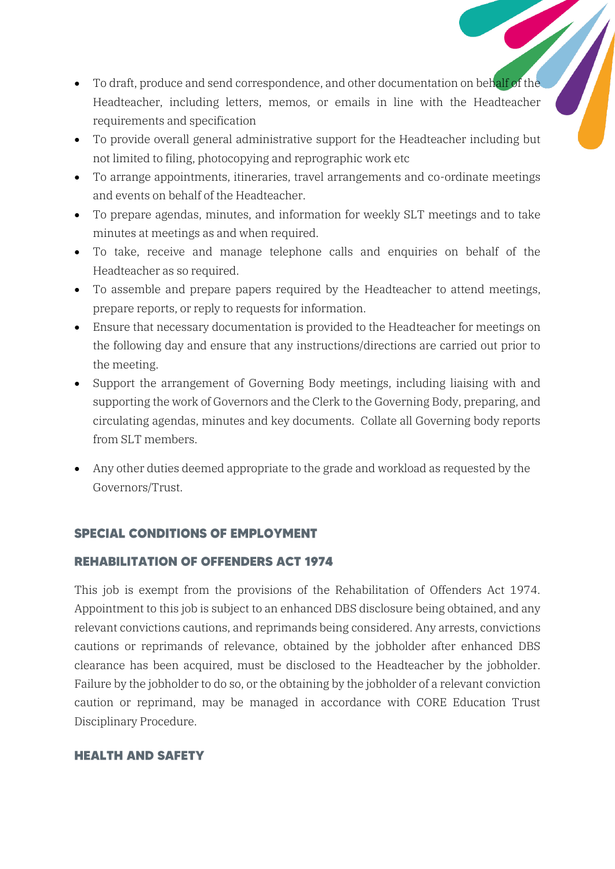- To draft, produce and send correspondence, and other documentation on behalf of the Headteacher, including letters, memos, or emails in line with the Headteacher requirements and specification
- To provide overall general administrative support for the Headteacher including but not limited to filing, photocopying and reprographic work etc
- To arrange appointments, itineraries, travel arrangements and co-ordinate meetings and events on behalf of the Headteacher.
- To prepare agendas, minutes, and information for weekly SLT meetings and to take minutes at meetings as and when required.
- To take, receive and manage telephone calls and enquiries on behalf of the Headteacher as so required.
- To assemble and prepare papers required by the Headteacher to attend meetings, prepare reports, or reply to requests for information.
- Ensure that necessary documentation is provided to the Headteacher for meetings on the following day and ensure that any instructions/directions are carried out prior to the meeting.
- Support the arrangement of Governing Body meetings, including liaising with and supporting the work of Governors and the Clerk to the Governing Body, preparing, and circulating agendas, minutes and key documents. Collate all Governing body reports from SLT members.
- Any other duties deemed appropriate to the grade and workload as requested by the Governors/Trust.

### **SPECIAL CONDITIONS OF EMPLOYMENT**

#### **REHABILITATION OF OFFENDERS ACT 1974**

This job is exempt from the provisions of the Rehabilitation of Offenders Act 1974. Appointment to this job is subject to an enhanced DBS disclosure being obtained, and any relevant convictions cautions, and reprimands being considered. Any arrests, convictions cautions or reprimands of relevance, obtained by the jobholder after enhanced DBS clearance has been acquired, must be disclosed to the Headteacher by the jobholder. Failure by the jobholder to do so, or the obtaining by the jobholder of a relevant conviction caution or reprimand, may be managed in accordance with CORE Education Trust Disciplinary Procedure.

#### **HEALTH AND SAFETY**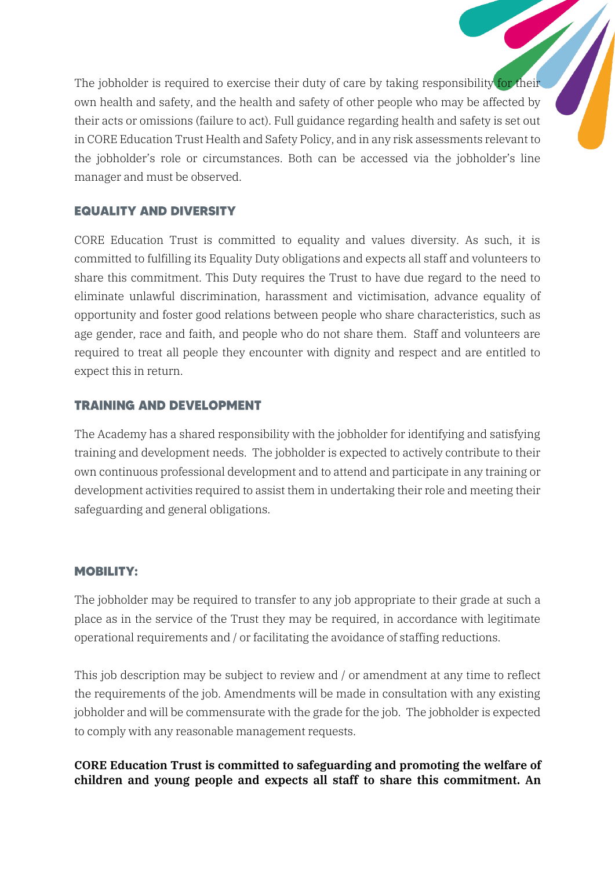The jobholder is required to exercise their duty of care by taking responsibility for their own health and safety, and the health and safety of other people who may be affected by their acts or omissions (failure to act). Full guidance regarding health and safety is set out in CORE Education Trust Health and Safety Policy, and in any risk assessments relevant to the jobholder's role or circumstances. Both can be accessed via the jobholder's line manager and must be observed.

# **EQUALITY AND DIVERSITY**

CORE Education Trust is committed to equality and values diversity. As such, it is committed to fulfilling its Equality Duty obligations and expects all staff and volunteers to share this commitment. This Duty requires the Trust to have due regard to the need to eliminate unlawful discrimination, harassment and victimisation, advance equality of opportunity and foster good relations between people who share characteristics, such as age gender, race and faith, and people who do not share them. Staff and volunteers are required to treat all people they encounter with dignity and respect and are entitled to expect this in return.

# **TRAINING AND DEVELOPMENT**

The Academy has a shared responsibility with the jobholder for identifying and satisfying training and development needs. The jobholder is expected to actively contribute to their own continuous professional development and to attend and participate in any training or development activities required to assist them in undertaking their role and meeting their safeguarding and general obligations.

### **MOBILITY:**

The jobholder may be required to transfer to any job appropriate to their grade at such a place as in the service of the Trust they may be required, in accordance with legitimate operational requirements and / or facilitating the avoidance of staffing reductions.

This job description may be subject to review and / or amendment at any time to reflect the requirements of the job. Amendments will be made in consultation with any existing jobholder and will be commensurate with the grade for the job. The jobholder is expected to comply with any reasonable management requests.

# CORE Education Trust is committed to safeguarding and promoting the welfare of children and young people and expects all staff to share this commitment. An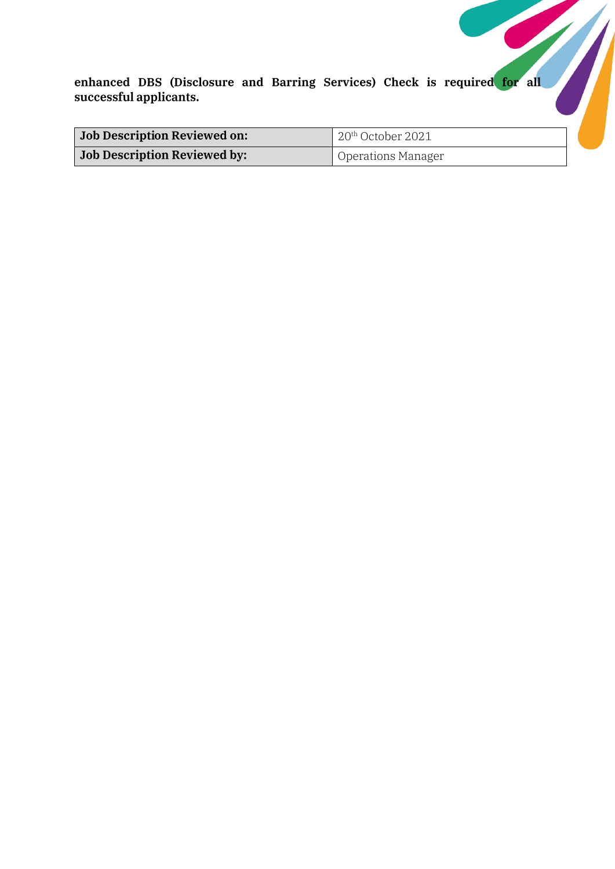| <b>Job Description Reviewed on:</b> | $20th$ October 2021       |  |
|-------------------------------------|---------------------------|--|
| <b>Job Description Reviewed by:</b> | <b>Operations Manager</b> |  |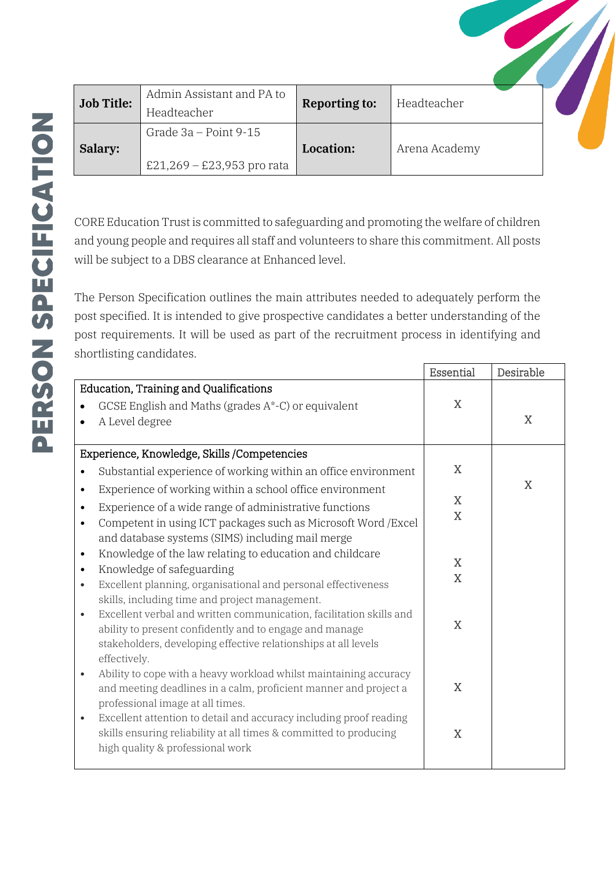| <b>Job Title:</b> | Admin Assistant and PA to<br>Headteacher              | <b>Reporting to:</b> | Headteacher   |  |
|-------------------|-------------------------------------------------------|----------------------|---------------|--|
| Salary:           | Grade $3a - Point 9-15$<br>£21,269 – £23,953 pro rata | Location:            | Arena Academy |  |

CORE Education Trust is committed to safeguarding and promoting the welfare of children and young people and requires all staff and volunteers to share this commitment. All posts will be subject to a DBS clearance at Enhanced level.

The Person Specification outlines the main attributes needed to adequately perform the post specified. It is intended to give prospective candidates a better understanding of the post requirements. It will be used as part of the recruitment process in identifying and shortlisting candidates.

|                                                                                                        | Essential   | Desirable   |
|--------------------------------------------------------------------------------------------------------|-------------|-------------|
| <b>Education, Training and Qualifications</b>                                                          |             |             |
| GCSE English and Maths (grades A*-C) or equivalent<br>$\bullet$                                        | $\mathbf X$ |             |
| A Level degree<br>$\bullet$                                                                            |             | $\mathbf X$ |
|                                                                                                        |             |             |
| Experience, Knowledge, Skills /Competencies                                                            |             |             |
| Substantial experience of working within an office environment<br>$\bullet$                            | $\mathbf X$ |             |
| Experience of working within a school office environment<br>$\bullet$                                  |             | $\mathbf X$ |
| Experience of a wide range of administrative functions<br>$\bullet$                                    | X           |             |
| Competent in using ICT packages such as Microsoft Word / Excel<br>$\bullet$                            | $\mathbf X$ |             |
| and database systems (SIMS) including mail merge                                                       |             |             |
| Knowledge of the law relating to education and childcare<br>$\bullet$                                  |             |             |
| Knowledge of safeguarding<br>$\bullet$                                                                 | X           |             |
| Excellent planning, organisational and personal effectiveness<br>$\bullet$                             | $\mathbf X$ |             |
| skills, including time and project management.                                                         |             |             |
| Excellent verbal and written communication, facilitation skills and<br>$\bullet$                       | $\mathbf X$ |             |
| ability to present confidently and to engage and manage                                                |             |             |
| stakeholders, developing effective relationships at all levels                                         |             |             |
| effectively.                                                                                           |             |             |
| Ability to cope with a heavy workload whilst maintaining accuracy<br>$\bullet$                         | $\mathbf X$ |             |
| and meeting deadlines in a calm, proficient manner and project a                                       |             |             |
| professional image at all times.<br>Excellent attention to detail and accuracy including proof reading |             |             |
| $\bullet$<br>skills ensuring reliability at all times & committed to producing                         | $\mathbf X$ |             |
| high quality & professional work                                                                       |             |             |
|                                                                                                        |             |             |